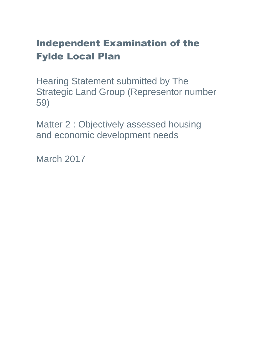# Independent Examination of the Fylde Local Plan

Hearing Statement submitted by The Strategic Land Group (Representor number 59)

Matter 2 : Objectively assessed housing and economic development needs

March 2017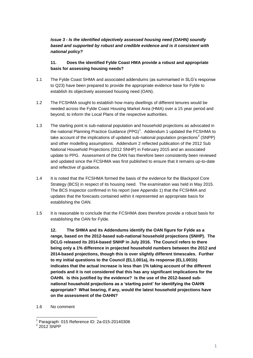#### *Issue 3 - Is the identified objectively assessed housing need (OAHN) soundly based and supported by robust and credible evidence and is it consistent with national policy?*

#### **11. Does the identified Fylde Coast HMA provide a robust and appropriate basis for assessing housing needs?**

- 1.1 The Fylde Coast SHMA and associated addendums (as summarised in SLG's response to Q23) have been prepared to provide the appropriate evidence base for Fylde to establish its objectively assessed housing need (OAN).
- 1.2 The FCSHMA sought to establish how many dwellings of different tenures would be needed across the Fylde Coast Housing Market Area (HMA) over a 15 year period and beyond, to inform the Local Plans of the respective authorities.
- 1.3 The starting point is sub-national population and household projections as advocated in the national Planning Practice Guidance (PPG)<sup>1</sup>. Addendum 1 updated the FCSHMA to take account of the implications of updated sub-national population projections<sup>2</sup> (SNPP) and other modelling assumptions. Addendum 2 reflected publication of the 2012 Sub National Household Projections (2012 SNHP) in February 2015 and an associated update to PPG. Assessment of the OAN has therefore been consistently been reviewed and updated since the FCSHMA was first published to ensure that it remains up-to-date and reflective of guidance.
- 1.4 It is noted that the FCSHMA formed the basis of the evidence for the Blackpool Core Strategy (BCS) in respect of its housing need. The examination was held in May 2015. The BCS Inspector confirmed in his report (see Appendix 1) that the FCSHMA and updates that the forecasts contained within it represented an appropriate basis for establishing the OAN.
- 1.5 It is reasonable to conclude that the FCSHMA does therefore provide a robust basis for establishing the OAN for Fylde.

**12. The SHMA and its Addendums identify the OAN figure for Fylde as a range, based on the 2012-based sub-national household projections (SNHP). The DCLG released its 2014-based SNHP in July 2016. The Council refers to there being only a 1% difference in projected household numbers between the 2012 and 2014-based projections, though this is over slightly different timescales. Further to my initial questions to the Council (EL1.001a), its response (EL1.001b) indicates that the actual increase is less than 1% taking account of the different periods and it is not considered that this has any significant implications for the OAHN. Is this justified by the evidence? Is the use of the 2012-based subnational household projections as a 'starting point' for identifying the OAHN appropriate? What bearing, if any, would the latest household projections have on the assessment of the OAHN?**

1.6 No comment

 $\overline{\phantom{a}}$ 1 Paragraph: 015 Reference ID: 2a-015-20140306

 $2$  2012 SNPP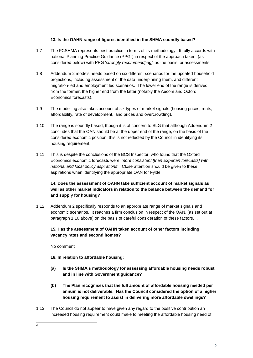#### **13. Is the OAHN range of figures identified in the SHMA soundly based?**

- 1.7 The FCSHMA represents best practice in terms of its methodology. It fully accords with national Planning Practice Guidance (PPG<sup>3</sup>) in respect of the approach taken, (as considered below) with PPG '*strongly recommend[ing]*' as the basis for assessments.
- 1.8 Addendum 2 models needs based on six different scenarios for the updated household projections, including assessment of the data underpinning them, and different migration-led and employment led scenarios. The lower end of the range is derived from the former, the higher end from the latter (notably the Aecom and Oxford Economics forecasts).
- 1.9 The modelling also takes account of six types of market signals (housing prices, rents, affordability, rate of development, land prices and overcrowding).
- 1.10 The range is soundly based, though it is of concern to SLG that although Addendum 2 concludes that the OAN should be at the upper end of the range, on the basis of the considered economic position, this is not reflected by the Council in identifying its housing requirement.
- 1.11 This is despite the conclusions of the BCS Inspector, who found that the Oxford Economics economic forecasts were '*more consistent [than Experian forecasts] with national and local policy aspirations*'. Close attention should be given to these aspirations when identifying the appropriate OAN for Fylde.

#### **14. Does the assessment of OAHN take sufficient account of market signals as well as other market indicators in relation to the balance between the demand for and supply for housing?**

1.12 Addendum 2 specifically responds to an appropriate range of market signals and economic scenarios. It reaches a firm conclusion in respect of the OAN, (as set out at paragraph 1.10 above) on the basis of careful consideration of these factors. .

#### **15. Has the assessment of OAHN taken account of other factors including vacancy rates and second homes?**

No comment

**16. In relation to affordable housing:**

- **(a) Is the SHMA's methodology for assessing affordable housing needs robust and in line with Government guidance?**
- **(b) The Plan recognises that the full amount of affordable housing needed per annum is not deliverable. Has the Council considered the option of a higher housing requirement to assist in delivering more affordable dwellings?**
- 1.13 The Council do not appear to have given any regard to the positive contribution an increased housing requirement could make to meeting the affordable housing need of

 $\frac{1}{3}$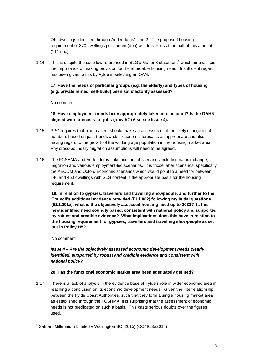249 dwellings identified through Addendums1 and 2. The proposed housing requirement of 370 dwellings per annum (dpa) will deliver less than half of this amount (111 dpa).

1.14 This is despite the case law referenced in SLG's Matter 3 statement<sup>4</sup> which emphasises the importance of making provision for the affordable housing need. Insufficient regard has been given to this by Fylde in selecting an OAN.

#### **17. Have the needs of particular groups (e.g. the elderly) and types of housing (e.g. private rented, self-build) been satisfactorily assessed?**

No comment

**18. Have employment trends been appropriately taken into account? Is the OAHN aligned with forecasts for jobs growth? (Also see Issue 4).**

- 1.15 PPG requires that plan makers should make an assessment of the likely change in job numbers based on past trends and/or economic forecasts as appropriate and also having regard to the growth of the working age population in the housing market area. Any cross-boundary migration assumptions will need to be agreed.
- 1.16 The FCSHMA and Addendums take account of scenarios including natural change, migration and various employment-led scenarios. It is those latter scenarios, specifically the AECOM and Oxford Economic scenarios which would point to a need for between 440 and 450 dwellings with SLG content is the appropriate basis for the housing requirement.

**19. In relation to gypsies, travellers and travelling showpeople, and further to the Council's additional evidence provided (EL1.002) following my initial questions (EL1.001a), what is the objectively assessed housing need up to 2032? Is this new identified need soundly based, consistent with national policy and supported by robust and credible evidence? What implications does this have in relation to the housing requirement for gypsies, travellers and travelling showpeople as set out in Policy H5?**

No comment

#### *Issue 4 – Are the objectively assessed economic development needs clearly identified, supported by robust and credible evidence and consistent with national policy?*

#### **20. Has the functional economic market area been adequately defined?**

1.17 There is a lack of analysis in the evidence base of Fylde's role in wider economic area in reaching a conclusion on its economic development needs. Given the interrelationship between the Fylde Coast Authorities, such that they form a single housing market area as established through the FCSHMA, it is surprising that the assessment of economic needs is not predicated on such a basis. This casts serious doubts over the figures used.

 4 Satnam Millennium Limited v Warrington BC (2015) (CO/4055/2014)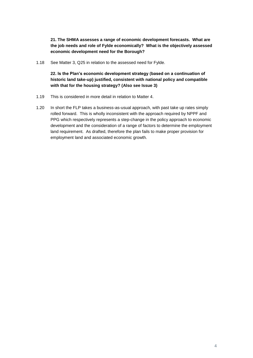**21. The SHMA assesses a range of economic development forecasts. What are the job needs and role of Fylde economically? What is the objectively assessed economic development need for the Borough?**

1.18 See Matter 3, Q25 in relation to the assessed need for Fylde.

**22. Is the Plan's economic development strategy (based on a continuation of historic land take-up) justified, consistent with national policy and compatible with that for the housing strategy? (Also see Issue 3)**

- 1.19 This is considered in more detail in relation to Matter 4.
- 1.20 In short the FLP takes a business-as-usual approach, with past take up rates simply rolled forward. This is wholly inconsistent with the approach required by NPPF and PPG which respectively represents a step-change in the policy approach to economic development and the consideration of a range of factors to determine the employment land requirement. As drafted, therefore the plan fails to make proper provision for employment land and associated economic growth.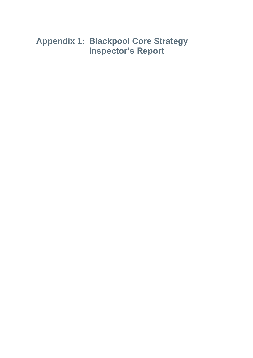## **Appendix 1: Blackpool Core Strategy Inspector's Report**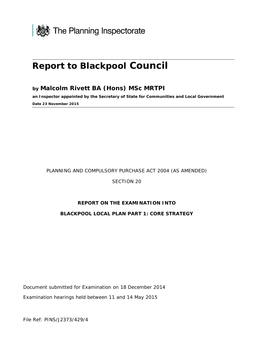

## **Report to Blackpool Council**

### **by Malcolm Rivett BA (Hons) MSc MRTPI**

**an Inspector appointed by the Secretary of State for Communities and Local Government Date 23 November 2015** 

#### PLANNING AND COMPULSORY PURCHASE ACT 2004 (AS AMENDED)

#### SECTION 20

#### **REPORT ON THE EXAMINATION INTO**

#### **BLACKPOOL LOCAL PLAN PART 1: CORE STRATEGY**

Document submitted for Examination on 18 December 2014 Examination hearings held between 11 and 14 May 2015

File Ref: PINS/J2373/429/4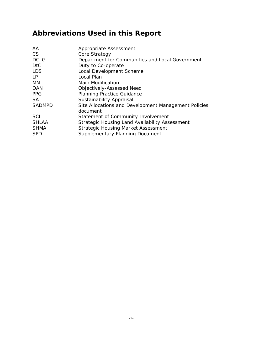## **Abbreviations Used in this Report**

| Appropriate Assessment                                           |
|------------------------------------------------------------------|
| Core Strategy                                                    |
| Department for Communities and Local Government                  |
| Duty to Co-operate                                               |
| Local Development Scheme                                         |
| Local Plan                                                       |
| <b>Main Modification</b>                                         |
| Objectively-Assessed Need                                        |
| <b>Planning Practice Guidance</b>                                |
| Sustainability Appraisal                                         |
| Site Allocations and Development Management Policies<br>document |
| Statement of Community Involvement                               |
| <b>Strategic Housing Land Availability Assessment</b>            |
| <b>Strategic Housing Market Assessment</b>                       |
| <b>Supplementary Planning Document</b>                           |
|                                                                  |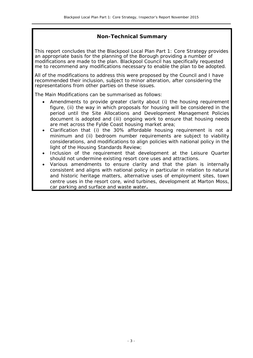#### **Non-Technical Summary**

This report concludes that the Blackpool Local Plan Part 1: Core Strategy provides an appropriate basis for the planning of the Borough providing a number of modifications are made to the plan. Blackpool Council has specifically requested me to recommend any modifications necessary to enable the plan to be adopted.

All of the modifications to address this were proposed by the Council and I have recommended their inclusion, subject to minor alteration, after considering the representations from other parties on these issues.

The Main Modifications can be summarised as follows:

- Amendments to provide greater clarity about (i) the housing requirement figure, (ii) the way in which proposals for housing will be considered in the period until the Site Allocations and Development Management Policies document is adopted and (iii) ongoing work to ensure that housing needs are met across the Fylde Coast housing market area;
- Clarification that (i) the 30% affordable housing requirement is not a minimum and (ii) bedroom number requirements are subject to viability considerations, and modifications to align policies with national policy in the light of the Housing Standards Review;
- Inclusion of the requirement that development at the Leisure Quarter should not undermine existing resort core uses and attractions.
- Various amendments to ensure clarity and that the plan is internally consistent and aligns with national policy in particular in relation to natural and historic heritage matters, alternative uses of employment sites, town centre uses in the resort core, wind turbines, development at Marton Moss, car parking and surface and waste water**.**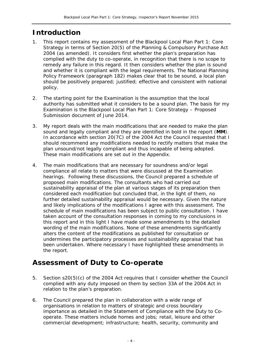### **Introduction**

- 1. This report contains my assessment of the Blackpool Local Plan Part 1: Core Strategy in terms of Section 20(5) of the Planning & Compulsory Purchase Act 2004 (as amended). It considers first whether the plan's preparation has complied with the duty to co-operate, in recognition that there is no scope to remedy any failure in this regard. It then considers whether the plan is sound and whether it is compliant with the legal requirements. The National Planning Policy Framework (paragraph 182) makes clear that to be sound, a local plan should be positively prepared; justified; effective and consistent with national policy.
- 2. The starting point for the Examination is the assumption that the local authority has submitted what it considers to be a sound plan. The basis for my Examination is the Blackpool Local Plan Part 1: Core Strategy – Proposed Submission document of June 2014.
- 3. My report deals with the main modifications that are needed to make the plan sound and legally compliant and they are identified in bold in the report (**MM**). In accordance with section 20(7C) of the 2004 Act the Council requested that I should recommend any modifications needed to rectify matters that make the plan unsound/not legally compliant and thus incapable of being adopted. These main modifications are set out in the Appendix.
- 4. The main modifications that are necessary for soundness and/or legal compliance all relate to matters that were discussed at the Examination hearings. Following these discussions, the Council prepared a schedule of proposed main modifications. The consultants who had carried out sustainability appraisal of the plan at various stages of its preparation then considered each modification but concluded that, in the light of them, no further detailed sustainability appraisal would be necessary. Given the nature and likely implications of the modifications I agree with this assessment. The schedule of main modifications has been subject to public consultation. I have taken account of the consultation responses in coming to my conclusions in this report and in this light I have made some amendments to the detailed wording of the main modifications. None of these amendments significantly alters the content of the modifications as published for consultation or undermines the participatory processes and sustainability appraisal that has been undertaken. Where necessary I have highlighted these amendments in the report.

### **Assessment of Duty to Co-operate**

- 5. Section s20(5)(c) of the 2004 Act requires that I consider whether the Council complied with any duty imposed on them by section 33A of the 2004 Act in relation to the plan's preparation.
- 6. The Council prepared the plan in collaboration with a wide range of organisations in relation to matters of strategic and cross boundary importance as detailed in the *Statement of Compliance with the Duty to Cooperate*. These matters include homes and jobs; retail, leisure and other commercial development; infrastructure; health, security, community and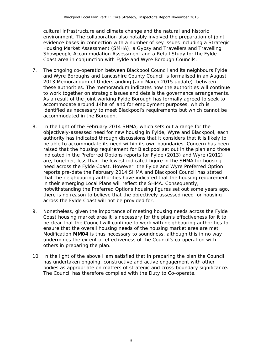cultural infrastructure and climate change and the natural and historic environment. The collaboration also notably involved the preparation of joint evidence bases in connection with a number of key issues including a *Strategic Housing Market Assessment* (SMHA), a *Gypsy and Travellers and Travelling Showpeople Accommodation Assessment* and a *Retail Study* for the Fylde Coast area in conjunction with Fylde and Wyre Borough Councils.

- 7. The ongoing co-operation between Blackpool Council and its neighbours Fylde and Wyre Boroughs and Lancashire County Council is formalised in an August 2013 *Memorandum of Understanding* (and March 2015 update) between these authorities. The memorandum indicates how the authorities will continue to work together on strategic issues and details the governance arrangements. As a result of the joint working Fylde Borough has formally agreed to seek to accommodate around 14ha of land for employment purposes, which is identified as necessary to meet Blackpool's requirements but which cannot be accommodated in the Borough.
- 8. In the light of the February 2014 SHMA, which sets out a range for the objectively-assessed need for new housing in Fylde, Wyre and Blackpool, each authority has indicated through discussions that it considers that it is likely to be able to accommodate its need within its own boundaries. Concern has been raised that the housing requirement for Blackpool set out in the plan and those indicated in the Preferred Options reports for Fylde (2013) and Wyre (2012) are, together, less than the lowest indicated figure in the SHMA for housing need across the Fylde Coast. However, the Fylde and Wyre Preferred Option reports pre-date the February 2014 SHMA and Blackpool Council has stated that the neighbouring authorities have indicated that the housing requirement in their emerging Local Plans will reflect the SHMA. Consequently, notwithstanding the Preferred Options housing figures set out some years ago, there is no reason to believe that the objectively assessed need for housing across the Fylde Coast will not be provided for.
- 9. Nonetheless, given the importance of meeting housing needs across the Fylde Coast housing market area it is necessary for the plan's effectiveness for it to be clear that the Council will continue to work with neighbouring authorities to ensure that the overall housing needs of the housing market area are met. Modification **MM04** is thus necessary to soundness, although this in no way undermines the extent or effectiveness of the Council's co-operation with others in preparing the plan.
- 10. In the light of the above I am satisfied that in preparing the plan the Council has undertaken ongoing, constructive and active engagement with other bodies as appropriate on matters of strategic and cross-boundary significance. The Council has therefore complied with the Duty to Co-operate.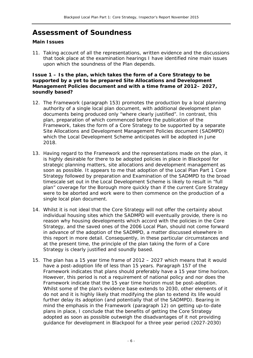### **Assessment of Soundness**

#### **Main Issues**

11. Taking account of all the representations, written evidence and the discussions that took place at the examination hearings I have identified nine main issues upon which the soundness of the Plan depends.

**Issue 1 – Is the plan, which takes the form of a Core Strategy to be supported by a yet to be prepared Site Allocations and Development Management Policies document and with a time frame of 2012– 2027, soundly based?** 

- 12. The Framework (paragraph 153) promotes the production by a local planning authority of a single local plan document, with additional development plan documents being produced only "where clearly justified". In contrast, this plan, preparation of which commenced before the publication of the Framework, takes the form of a Core Strategy to be supported by a separate Site Allocations and Development Management Policies document (SADMPD) which the *Local Development Scheme* anticipates will be adopted in June 2018.
- 13. Having regard to the Framework and the representations made on the plan, it is highly desirable for there to be adopted policies in place in Blackpool for strategic planning matters, site allocations and development management as soon as possible. It appears to me that adoption of the Local Plan Part 1 Core Strategy followed by preparation and Examination of the SADMPD to the broad timescale set out in the *Local Development Scheme* is likely to result in "full plan" coverage for the Borough more quickly than if the current Core Strategy were to be aborted and work were to then commence on the production of a single local plan document.
- 14. Whilst it is not ideal that the Core Strategy will not offer the certainty about individual housing sites which the SADMPD will eventually provide, there is no reason why housing developments which accord with the policies in the Core Strategy, and the saved ones of the 2006 Local Plan, should not come forward in advance of the adoption of the SADMPD, a matter discussed elsewhere in this report in more detail. Consequently, in these particular circumstances and at the present time, the principle of the plan taking the form of a Core Strategy is clearly justified and soundly based.
- 15. The plan has a 15 year time frame of 2012 2027 which means that it would have a post-adoption life of less than 15 years. Paragraph 157 of the Framework indicates that plans should preferably have a 15 year time horizon. However, this period is not a requirement of national policy and nor does the Framework indicate that the 15 year time horizon must be post-adoption. Whilst some of the plan's evidence base extends to 2030, other elements of it do not and it is highly likely that modifying the plan to extend its life would further delay its adoption (and potentially that of the SADMPD). Bearing in mind the emphasis in the Framework (paragraph 12) on getting up-to-date plans in place, I conclude that the benefits of getting the Core Strategy adopted as soon as possible outweigh the disadvantages of it not providing guidance for development in Blackpool for a three year period (2027-2030)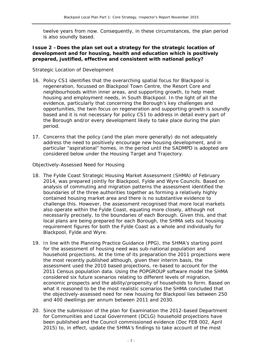twelve years from now. Consequently, in these circumstances, the plan period is also soundly based.

#### **Issue 2 –Does the plan set out a strategy for the strategic location of development and for housing, health and education which is positively prepared, justified, effective and consistent with national policy?**

#### *Strategic Location of Development*

- 16. Policy CS1 identifies that the overarching spatial focus for Blackpool is regeneration, focussed on Blackpool Town Centre, the Resort Core and neighbourhoods within inner areas, and supporting growth, to help meet housing and employment needs, in South Blackpool. In the light of all the evidence, particularly that concerning the Borough's key challenges and opportunities, the twin focus on regeneration and supporting growth is soundly based and it is not necessary for policy CS1 to address in detail every part of the Borough and/or every development likely to take place during the plan period.
- 17. Concerns that the policy (and the plan more generally) do not adequately address the need to positively encourage new housing development, and in particular "aspirational" homes, in the period until the SADMPD is adopted are considered below under the *Housing Target and Trajectory.*

#### *Objectively-Assessed Need for Housing*

- 18. The *Fylde Coast Strategic Housing Market Assessment* (SHMA) of February 2014, was prepared jointly for Blackpool, Fylde and Wyre Councils. Based on analysis of commuting and migration patterns the assessment identified the boundaries of the three authorities together as forming a relatively highly contained housing market area and there is no substantive evidence to challenge this. However, the assessment recognised that more local markets also operate within the Fylde Coast, equating more closely, although not necessarily precisely, to the boundaries of each Borough. Given this, and that local plans are being prepared for each Borough, the SHMA sets out housing requirement figures for both the Fylde Coast as a whole and individually for Blackpool, Fylde and Wyre.
- 19. In line with the *Planning Practice Guidance* (PPG), the SHMA's starting point for the assessment of housing need was sub-national population and household projections. At the time of its preparation the 2011 projections were the most recently published although, given their interim basis, the assessment used the 2010 based projections, re-based to account for the 2011 Census population data. Using the POPGROUP software model the SHMA considered six future scenarios relating to different levels of migration, economic prospects and the ability/propensity of households to form. Based on what it reasoned to be the most realistic scenarios the SHMA concluded that the objectively-assessed need for new housing for Blackpool lies between 250 and 400 dwellings per annum between 2011 and 2030.
- 20. Since the submission of the plan for Examination the 2012-based Department for Communities and Local Government (DCLG) household projections have been published and the Council commissioned evidence (Doc FEB 002, April 2015) to, in effect, update the SHMA's findings to take account of the most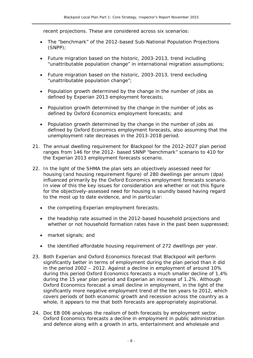recent projections. These are considered across six scenarios:

- The "benchmark" of the 2012-based Sub-National Population Projections (SNPP);
- Future migration based on the historic, 2003-2013, trend including "unattributable population change" in international migration assumptions;
- Future migration based on the historic, 2003-2013, trend excluding "unattributable population change";
- Population growth determined by the change in the number of jobs as defined by Experian 2013 employment forecasts;
- Population growth determined by the change in the number of jobs as defined by Oxford Economics employment forecasts; and
- Population growth determined by the change in the number of jobs as defined by Oxford Economics employment forecasts, also assuming that the unemployment rate decreases in the 2013-2018 period.
- 21. The annual dwelling requirement for Blackpool for the 2012-2027 plan period ranges from 146 for the 2012- based SNNP "benchmark" scenario to 410 for the Experian 2013 employment forecasts scenario.
- 22. In the light of the SHMA the plan sets an objectively assessed need for housing (and housing requirement figure) of 280 dwellings per annum (dpa) influenced primarily by the Oxford Economics employment forecasts scenario. In view of this the key issues for consideration are whether or not this figure for the objectively-assessed need for housing is soundly based having regard to the most up to date evidence, and in particular:
	- the competing Experian employment forecasts;
	- the headship rate assumed in the 2012-based household projections and whether or not household formation rates have in the past been suppressed;
	- market signals; and
	- the identified affordable housing requirement of 272 dwellings per year.
- 23. Both Experian and Oxford Economics forecast that Blackpool will perform significantly better in terms of employment during the plan period than it did in the period 2002 – 2012. Against a decline in employment of around 10% during this period Oxford Economics forecasts a much smaller decline of 1.4% during the 15 year plan period and Experian an increase of 1.2%. Although Oxford Economics forecast a small decline in employment, in the light of the significantly more negative employment trend of the ten years to 2012, which covers periods of both economic growth and recession across the country as a whole, it appears to me that both forecasts are appropriately aspirational.
- 24. Doc EB 006 analyses the realism of both forecasts by employment sector. Oxford Economics forecasts a decline in employment in public administration and defence along with a growth in arts, entertainment and wholesale and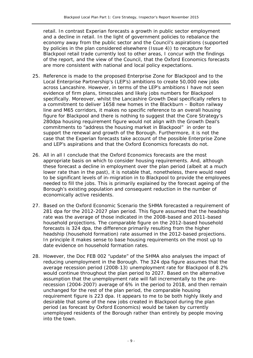retail. In contrast Experian forecasts a growth in public sector employment and a decline in retail. In the light of government policies to rebalance the economy away from the public sector and the Council's aspirations (supported by policies in the plan considered elsewhere (Issue 4)) to recapture for Blackpool retail trade currently lost to other areas, I concur with the findings of the report, and the view of the Council, that the Oxford Economics forecasts are more consistent with national and local policy expectations.

- 25. Reference is made to the proposed Enterprise Zone for Blackpool and to the Local Enterprise Partnership's (LEP's) ambitions to create 50,000 new jobs across Lancashire. However, in terms of the LEP's ambitions I have not seen evidence of firm plans, timescales and likely jobs numbers for Blackpool specifically. Moreover, whilst the Lancashire Growth Deal specifically refers to a commitment to deliver 1658 new homes in the Blackburn – Bolton railway line and M65 corridors, it makes no specific reference to an overall housing figure for Blackpool and there is nothing to suggest that the Core Strategy's 280dpa housing requirement figure would not align with the Growth Deal's commitments to "address the housing market in Blackpool" in order to support the renewal and growth of the Borough. Furthermore, it is not the case that the Experian forecasts take account of the possible Enterprise Zone and LEP's aspirations and that the Oxford Economics forecasts do not.
- 26. All in all I conclude that the Oxford Economics forecasts are the most appropriate basis on which to consider housing requirements. And, although these forecast a decline in employment over the plan period (albeit at a much lower rate than in the past), it is notable that, nonetheless, there would need to be significant levels of in-migration in to Blackpool to provide the employees needed to fill the jobs. This is primarily explained by the forecast ageing of the Borough's existing population and consequent reduction in the number of economically active residents.
- 27. Based on the Oxford Economic Scenario the SHMA forecasted a requirement of 281 dpa for the 2012-2027 plan period. This figure assumed that the headship rate was the average of those indicated in the 2008-based and 2011-based household projections. The comparable figure on the 2012-based household forecasts is 324 dpa, the difference primarily resulting from the higher headship (household formation) rate assumed in the 2012-based projections. In principle it makes sense to base housing requirements on the most up to date evidence on household formation rates.
- 28. However, the Doc FEB 002 "update" of the SHMA also analyses the impact of reducing unemployment in the Borough. The 324 dpa figure assumes that the average recession period (2008-13) unemployment rate for Blackpool of 8.2% would continue throughout the plan period to 2027. Based on the alternative assumption that the unemployment rate will fall incrementally to the prerecession (2004-2007) average of 6% in the period to 2018, and then remain unchanged for the rest of the plan period, the comparable housing requirement figure is 223 dpa. It appears to me to be both highly likely and desirable that some of the new jobs created in Blackpool during the plan period (as forecast by Oxford Economics) would be taken by currently unemployed residents of the Borough rather than entirely by people moving into the town.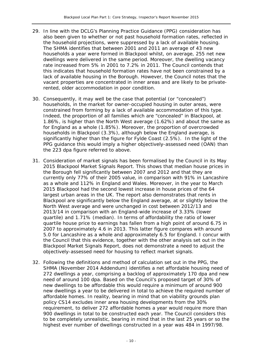- 29. In line with the DCLG's *Planning Practice Guidance* (PPG) consideration has also been given to whether or not past household formation rates, reflected in the household projections, were suppressed by a lack of available housing. The SHMA identifies that between 2001 and 2011 an average of 43 new households a year were formed in Blackpool whilst, on average, 255 net new dwellings were delivered in the same period. Moreover, the dwelling vacancy rate increased from 5% in 2001 to 7.2% in 2011. The Council contends that this indicates that household formation rates have not been constrained by a lack of available housing in the Borough. However, the Council notes that the vacant properties are concentrated in inner areas and are likely to be privaterented, older accommodation in poor condition.
- 30. Consequently, it may well be the case that potential (or "concealed") households, in the market for owner-occupied housing in outer areas, were constrained from forming by a lack of available accommodation of this type. Indeed, the proportion of all families which are "concealed" in Blackpool, at 1.86%, is higher than the North West average (1.62%) and about the same as for England as a whole (1.85%). Moreover, the proportion of overcrowded households in Blackpool (3.3%), although below the England average, is significantly higher than the figure for Fylde Coast (2.5%). In the light of the PPG guidance this would imply a higher objectively-assessed need (OAN) than the 223 dpa figure referred to above.
- 31. Consideration of market signals has been formalised by the Council in its May 2015 *Blackpool Market Signals Report*. This shows that median house prices in the Borough fell significantly between 2007 and 2012 and that they are currently only 77% of their 2005 value, in comparison with 91% in Lancashire as a whole and 112% in England and Wales. Moreover, in the year to March 2015 Blackpool had the second lowest increase in house prices of the 64 largest urban areas in the UK. The report also demonstrates that rents in Blackpool are significantly below the England average, at or slightly below the North West average and were unchanged in cost between 2012/13 and 2013/14 in comparison with an England-wide increase of 3.33% (lower quartile) and 1.71% (median). In terms of affordability the ratio of lower quartile house price to earnings has fallen from a high point of around 6.75 in 2007 to approximately 4.6 in 2013. This latter figure compares with around 5.0 for Lancashire as a whole and approximately 6.5 for England. I concur with the Council that this evidence, together with the other analysis set out in the *Blackpool Market Signals Report*, does not demonstrate a need to adjust the objectively-assessed need for housing to reflect market signals.
- 32. Following the definitions and method of calculation set out in the PPG, the SHMA (November 2014 Addendum) identifies a net affordable housing need of 272 dwellings a year, comprising a backlog of approximately 170 dpa and new need of around 100 dpa. Based on the Council's proposed target of 30% of new dwellings to be affordable this would require a minimum of around 900 new dwellings a year to be delivered in total to achieve the required number of affordable homes. In reality, bearing in mind that on viability grounds plan policy CS14 excludes inner area housing developments from the 30% requirement, to deliver 272 affordable homes a year would require more than 900 dwellings in total to be constructed each year. The Council considers this to be completely unrealistic, bearing in mind that in the last 25 years or so the highest ever number of dwellings constructed in a year was 484 in 1997/98.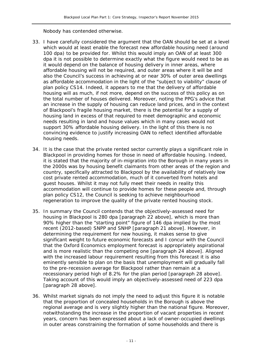Nobody has contended otherwise.

- 33. I have carefully considered the argument that the OAN should be set at a level which would at least enable the forecast new affordable housing need (around 100 dpa) to be provided for. Whilst this would imply an OAN of at least 300 dpa it is not possible to determine exactly what the figure would need to be as it would depend on the balance of housing delivery in inner areas, where affordable housing will not be required, and outer areas where it will be and also the Council's success in achieving at or near 30% of outer area dwellings as affordable accommodation in the light of the "subject to viability" clause of plan policy CS14. Indeed, it appears to me that the delivery of affordable housing will as much, if not more, depend on the success of this policy as on the total number of houses delivered. Moreover, noting the PPG's advice that an increase in the supply of housing can reduce land prices, and in the context of Blackpool's fragile housing market, there is the potential for a supply of housing land in excess of that required to meet demographic and economic needs resulting in land and house values which in many cases would not support 30% affordable housing delivery. In the light of this there is no convincing evidence to justify increasing OAN to reflect identified affordable housing needs.
- 34. It is the case that the private rented sector currently plays a significant role in Blackpool in providing homes for those in need of affordable housing. Indeed, it is stated that the majority of in-migration into the Borough in many years in the 2000s was by housing benefit claimants from other areas of the region and country, specifically attracted to Blackpool by the availability of relatively low cost private rented accommodation, much of it converted from hotels and guest houses. Whilst it may not fully meet their needs in reality this accommodation will continue to provide homes for these people and, through plan policy CS12, the Council is seeking to achieve neighbourhood regeneration to improve the quality of the private rented housing stock.
- 35. In summary the Council contends that the objectively-assessed need for housing in Blackpool is 280 dpa [paragraph 22 above], which is more than 90% higher than the "starting point" figure of 146 dpa implied by the most recent (2012-based) SNPP and SNHP [paragraph 21 above]. However, in determining the requirement for new housing, it makes sense to give significant weight to future economic forecasts and I concur with the Council that the Oxford Economics employment forecast is appropriately aspirational and is more realistic than the competing one [paragraph 24 above]. Aligned with the increased labour requirement resulting from this forecast it is also eminently sensible to plan on the basis that unemployment will gradually fall to the pre-recession average for Blackpool rather than remain at a recessionary period high of 8.2% for the plan period [paragraph 28 above]. Taking account of this would imply an objectively-assessed need of 223 dpa [paragraph 28 above].
- 36. Whilst market signals do not imply the need to adjust this figure it is notable that the proportion of concealed households in the Borough is above the regional average and is very slightly higher than the national figure. Moreover, notwithstanding the increase in the proportion of vacant properties in recent years, concern has been expressed about a lack of owner-occupied dwellings in outer areas constraining the formation of some households and there is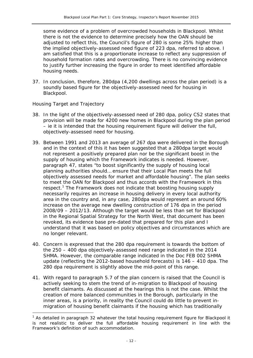some evidence of a problem of overcrowded households in Blackpool. Whilst there is not the evidence to determine precisely how the OAN should be adjusted to reflect this, the Council's figure of 280 is some 25% higher than the implied objectively-assessed need figure of 223 dpa, referred to above. I am satisfied that this is a proportionate increase to reflect any suppression of household formation rates and overcrowding. There is no convincing evidence to justify further increasing the figure in order to meet identified affordable housing needs.

37. In conclusion, therefore, 280dpa (4,200 dwellings across the plan period) is a soundly based figure for the objectively-assessed need for housing in Blackpool.

#### *Housing Target and Trajectory*

-

- 38. In the light of the objectively-assessed need of 280 dpa, policy CS2 states that provision will be made for 4200 new homes in Blackpool during the plan period – ie it is intended that the housing requirement figure will deliver the full, objectively-assessed need for housing.
- 39. Between 1991 and 2013 an average of 267 dpa were delivered in the Borough and in the context of this it has been suggested that a 280dpa target would not represent a positively prepared plan nor be the significant boost in the supply of housing which the Framework indicates is needed. However, paragraph 47, states "to boost significantly the supply of housing local planning authorities should… ensure that their Local Plan meets the full objectively assessed needs for market and affordable housing". The plan seeks to meet the OAN for Blackpool and thus accords with the Framework in this respect.<sup>1</sup> The Framework does not indicate that boosting housing supply necessarily requires an increase in housing delivery in every local authority area in the country and, in any case, 280dpa would represent an around 60% increase on the average new dwelling construction of 176 dpa in the period 2008/09 – 2012/13. Although the target would be less than set for Blackpool in the Regional Spatial Strategy for the North West, that document has been revoked, its evidence base pre-dated that prepared for this plan and I understand that it was based on policy objectives and circumstances which are no longer relevant.
- 40. Concern is expressed that the 280 dpa requirement is towards the bottom of the 250 – 400 dpa objectively-assessed need range indicated in the 2014 SHMA. However, the comparable range indicated in the Doc FEB 002 SHMA update (reflecting the 2012-based household forecasts) is 146 – 410 dpa. The 280 dpa requirement is slightly above the mid-point of this range.
- 41. With regard to paragraph 5.7 of the plan concern is raised that the Council is actively seeking to stem the trend of in-migration to Blackpool of housing benefit claimants. As discussed at the hearings this is not the case. Whilst the creation of more balanced communities in the Borough, particularly in the inner areas, is a priority, in reality the Council could do little to prevent inmigration of housing benefit claimants if the housing which has traditionally

<sup>&</sup>lt;sup>1</sup> As detailed in paragraph 32 whatever the total housing requirement figure for Blackpool it is not realistic to deliver the full affordable housing requirement in line with the Framework's definition of such accommodation.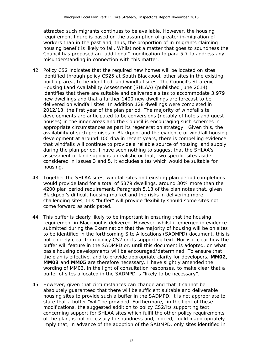attracted such migrants continues to be available. However, the housing requirement figure is based on the assumption of greater in-migration of workers than in the past and, thus, the proportion of in-migrants claiming housing benefit is likely to fall. Whilst not a matter that goes to soundness the Council has proposed an "additional" modification to para 5.7 to address any misunderstanding in connection with this matter.

- 42. Policy CS2 indicates that the required new homes will be located on sites identified through policy CS25 at South Blackpool, other sites in the existing built-up area, to be identified, and windfall sites. The Council's *Strategic Housing Land Availability Assessment* (SHLAA) (published June 2014) identifies that there are suitable and deliverable sites to accommodate 3,979 new dwellings and that a further 1400 new dwellings are forecast to be delivered on windfall sites. In addition 128 dwellings were completed in 2012/13, the first year of the plan period. The majority of windfall site developments are anticipated to be conversions (notably of hotels and guest houses) in the inner areas and the Council is encouraging such schemes in appropriate circumstances as part its regeneration strategy. Given this, the availability of such premises in Blackpool and the evidence of windfall housing development at around 100 dpa in recent years, there is compelling evidence that windfalls will continue to provide a reliable source of housing land supply during the plan period. I have seen nothing to suggest that the SHLAA's assessment of land supply is unrealistic or that, two specific sites aside considered in Issues 3 and 5, it excludes sites which would be suitable for housing.
- 43. Together the SHLAA sites, windfall sites and existing plan period completions would provide land for a total of 5379 dwellings, around 30% more than the 4200 plan period requirement. Paragraph 5.13 of the plan notes that, given Blackpool's difficult housing market and the risks in delivering more challenging sites, this "buffer" will provide flexibility should some sites not come forward as anticipated.
- 44. This buffer is clearly likely to be important in ensuring that the housing requirement in Blackpool is delivered. However, whilst it emerged in evidence submitted during the Examination that the majority of housing will be on sites to be identified in the forthcoming Site Allocations (SADMPD) document, this is not entirely clear from policy CS2 or its supporting text. Nor is it clear how the buffer will feature in the SADMPD or, until this document is adopted, on what basis housing developments will be encouraged/determined. To ensure that the plan is effective, and to provide appropriate clarity for developers, **MM02**, **MM03** and **MM05** are therefore necessary. I have slightly amended the wording of MM03, in the light of consultation responses, to make clear that a buffer of sites allocated in the SADMPD is "likely to be necessary".
- 45. However, given that circumstances can change and that it cannot be absolutely guaranteed that there will be sufficient suitable and deliverable housing sites to provide such a buffer in the SADMPD, it is not appropriate to state that a buffer "will" be provided. Furthermore, in the light of these modifications, the suggested addition to policy CS2/its supporting text, concerning support for SHLAA sites which fulfil the other policy requirements of the plan, is not necessary to soundness and, indeed, could inappropriately imply that, in advance of the adoption of the SADMPD, only sites identified in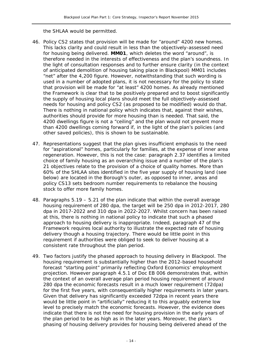the SHLAA would be permitted.

- 46. Policy CS2 states that provision will be made for "around" 4200 new homes. This lacks clarity and could result in less than the objectively-assessed need for housing being delivered. **MM01**, which deletes the word "around", is therefore needed in the interests of effectiveness and the plan's soundness. In the light of consultation responses and to further ensure clarity (in the context of anticipated demolition of housing taking place in Blackpool) MM01 includes "net" after the 4,200 figure. However, notwithstanding that such wording is used in a number of adopted plans, it is not necessary for the policy to state that provision will be made for "at least" 4200 homes. As already mentioned the Framework is clear that to be positively prepared and to boost significantly the supply of housing local plans should meet the full objectively-assessed needs for housing and policy CS2 (as proposed to be modified) would do that. There is nothing in national policy which indicates that, against their wishes, authorities should provide for more housing than is needed. That said, the 4200 dwellings figure is not a "ceiling" and the plan would not prevent more than 4200 dwellings coming forward if, in the light of the plan's policies (and other saved policies), this is shown to be sustainable.
- 47. Representations suggest that the plan gives insufficient emphasis to the need for "aspirational" homes, particularly for families, at the expense of inner area regeneration. However, this is not the case: paragraph 2.37 identifies a limited choice of family housing as an overarching issue and a number of the plan's 21 objectives relate to the provision of a choice of quality homes. More than 60% of the SHLAA sites identified in the five year supply of housing land (see below) are located in the Borough's outer, as opposed to inner, areas and policy CS13 sets bedroom number requirements to rebalance the housing stock to offer more family homes.
- 48. Paragraphs 5.19 5.21 of the plan indicate that within the overall average housing requirement of 280 dpa, the target will be 250 dpa in 2012-2017, 280 dpa in 2017-2022 and 310 dpa in 2022-2027. Whilst concern has been raised at this, there is nothing in national policy to indicate that such a phased approach to housing delivery is inappropriate. Indeed, paragraph 47 of the Framework requires local authority to illustrate the expected rate of housing delivery though a housing trajectory. There would be little point in this requirement if authorities were obliged to seek to deliver housing at a consistent rate throughout the plan period.
- 49. Two factors justify the phased approach to housing delivery in Blackpool. The housing requirement is substantially higher than the 2012-based household forecast "starting point" primarily reflecting Oxford Economics' employment projection. However paragraph 4.5.1 of Doc EB 006 demonstrates that, within the context of an overall average plan period housing requirement of around 280 dpa the economic forecasts result in a much lower requirement (72dpa) for the first five years, with consequentially higher requirements in later years. Given that delivery has significantly exceeded 72dpa in recent years there would be little point in "artificially" reducing it to this arguably extreme low level to precisely match the economic forecasts. However, the evidence does indicate that there is not the need for housing provision in the early years of the plan period to be as high as in the later years. Moreover, the plan's phasing of housing delivery provides for housing being delivered ahead of the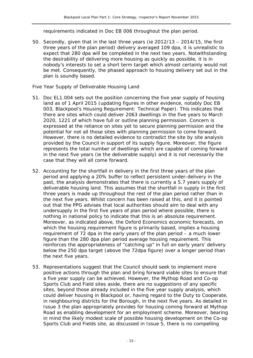requirements indicated in Doc EB 006 throughout the plan period.

50. Secondly, given that in the last three years (ie 2012/13 – 2014/15, the first three years of the plan period) delivery averaged 109 dpa, it is unrealistic to expect that 280 dpa will be completed in the next two years. Notwithstanding the desirability of delivering more housing as quickly as possible, it is in nobody's interests to set a short term target which almost certainly would not be met. Consequently, the phased approach to housing delivery set out in the plan is soundly based.

#### *Five Year Supply of Deliverable Housing Land*

- 51. Doc EL1.004 sets out the position concerning the five year supply of housing land as of 1 April 2015 (updating figures in other evidence, notably Doc EB 003, *Blackpool's Housing Requirement: Technical Paper*). This indicates that there are sites which could deliver 2063 dwellings in the five years to March 2020, 1221 of which have full or outline planning permission. Concern is expressed at the reliance on sites yet to secure planning permission and the potential for not all those sites with planning permission to come forward. However, there is no detailed evidence to contradict the site by site analysis provided by the Council in support of its supply figure. Moreover, the figure represents the total number of dwellings which are capable of coming forward in the next five years (ie the deliverable supply) and it is not necessarily the case that they will all come forward.
- 52. Accounting for the shortfall in delivery in the first three years of the plan period and applying a 20% buffer to reflect persistent under-delivery in the past, the analysis demonstrates that there is currently a 5.7 years supply of deliverable housing land. This assumes that the shortfall in supply in the first three years is made up throughout the rest of the plan period rather than in the next five years. Whilst concern has been raised at this, and it is pointed out that the PPG advises that local authorities should aim to deal with any undersupply in the first five years of plan period where possible, there is nothing in national policy to indicate that this is an absolute requirement. Moreover, as indicated above, the Oxford Economics economic forecasts, on which the housing requirement figure is primarily based, implies a housing requirement of 72 dpa in the early years of the plan period – a much lower figure than the 280 dpa plan period average housing requirement. This reinforces the appropriateness of "catching up" in full on early years' delivery below the 250 dpa target (above the 72dpa figure) over a longer period than the next five years.
- 53. Representations suggest that the Council should seek to implement more positive actions through the plan and bring forward viable sites to ensure that a five year supply can be achieved. However, the Mythop Road and Co-op Sports Club and Field sites aside, there are no suggestions of any specific sites, beyond those already included in the five year supply analysis, which could deliver housing in Blackpool or, having regard to the Duty to Cooperate, in neighbouring districts for the Borough, in the next five years. As detailed in Issue 3 the plan appropriately provides for housing coming forward at Mythop Road as enabling development for an employment scheme. Moreover, bearing in mind the likely modest scale of possible housing development on the Co-op Sports Club and Fields site, as discussed in Issue 5, there is no compelling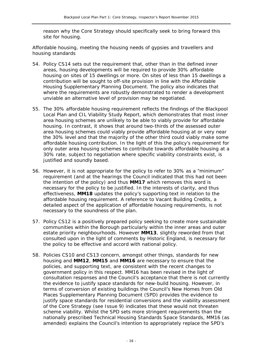reason why the Core Strategy should specifically seek to bring forward this site for housing.

#### *Affordable housing, meeting the housing needs of gypsies and travellers and housing standards*

- 54. Policy CS14 sets out the requirement that, other than in the defined inner areas, housing developments will be required to provide 30% affordable housing on sites of 15 dwellings or more. On sites of less than 15 dwellings a contribution will be sought to off-site provision in line with the *Affordable Housing Supplementary Planning Document*. The policy also indicates that where the requirements are robustly demonstrated to render a development unviable an alternative level of provision may be negotiated.
- 55. The 30% affordable housing requirement reflects the findings of the *Blackpool Local Plan and CIL Viability Study Report*, which demonstrates that most inner area housing schemes are unlikely to be able to viably provide for affordable housing. In contrast, it shows that around two-thirds of the assessed outer area housing schemes could viably provide affordable housing at or very near the 30% level and that the majority of the other third could viably make some affordable housing contribution. In the light of this the policy's requirement for only outer area housing schemes to contribute towards affordable housing at a 30% rate, subject to negotiation where specific viability constraints exist, is justified and soundly based.
- 56. However, it is not appropriate for the policy to refer to 30% as a "minimum" requirement (and at the hearings the Council indicated that this had not been the intention of the policy) and thus **MM17** which removes this word is necessary for the policy to be justified. In the interests of clarity, and thus effectiveness, **MM18** updates the policy's supporting text in relation to the affordable housing requirement. A reference to Vacant Building Credits, a detailed aspect of the application of affordable housing requirements, is not necessary to the soundness of the plan.
- 57. Policy CS12 is a positively prepared policy seeking to create more sustainable communities within the Borough particularly within the inner areas and outer estate priority neighbourhoods. However **MM13**, slightly reworded from that consulted upon in the light of comments by Historic England, is necessary for the policy to be effective and accord with national policy.
- 58. Policies CS10 and CS13 concern, amongst other things, standards for new housing and **MM12**, **MM15** and **MM16** are necessary to ensure that the policies, and supporting text, are consistent with the recent changes to government policy in this respect. MM16 has been revised in the light of consultation responses and the Council's acceptance that there is not currently the evidence to justify space standards for new-build housing. However, in terms of conversion of existing buildings the Council's *New Homes from Old Places* Supplementary Planning Document (SPD) provides the evidence to justify space standards for residential conversions and the viability assessment of the Core Strategy (see Issue 9) indicates that these would not threaten scheme viability. Whilst the SPD sets more stringent requirements than the nationally prescribed Technical Housing Standards Space Standards, MM16 (as amended) explains the Council's intention to appropriately replace the SPD's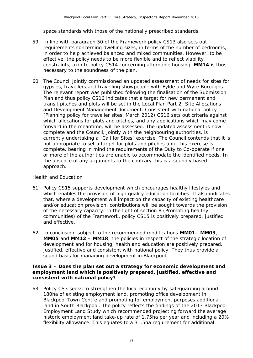space standards with those of the nationally prescribed standards.

- 59. In line with paragraph 50 of the Framework policy CS13 also sets out requirements concerning dwelling sizes, in terms of the number of bedrooms, in order to help achieved balanced and mixed communities. However, to be effective, the policy needs to be more flexible and to reflect viability constraints, akin to policy CS14 concerning affordable housing. **MM14** is thus necessary to the soundness of the plan.
- 60. The Council jointly commissioned an updated assessment of needs for sites for gypsies, travellers and travelling showpeople with Fylde and Wyre Boroughs. The relevant report was published following the finalisation of the Submission Plan and thus policy CS16 indicates that a target for new permanent and transit pitches and plots will be set in the Local Plan Part 2: Site Allocations and Development Management document. Consistent with national policy (*Planning policy for traveller sites, March 2012)* CS16 sets out criteria against which allocations for plots and pitches, and any applications which may come forward in the meantime, will be assessed. The updated assessment is now complete and the Council, jointly with the neighbouring authorities, is currently undertaking a "Call for Sites" exercise. The Council contends that it is not appropriate to set a target for plots and pitches until this exercise is complete, bearing in mind the requirements of the Duty to Co-operate if one or more of the authorities are unable to accommodate the identified needs. In the absence of any arguments to the contrary this is a soundly based approach.

#### *Health and Education*

- 61. Policy CS15 supports development which encourages healthy lifestyles and which enables the provision of high quality education facilities. It also indicates that, where a development will impact on the capacity of existing healthcare and/or education provision, contributions will be sought towards the provision of the necessary capacity. In the light of section 8 (Promoting healthy communities) of the Framework, policy CS15 is positively prepared, justified and effective.
- 62. In conclusion, subject to the recommended modifications **MM01– MM03**, **MM05** and **MM12 – MM18**, the policies in respect of the strategic location of development and for housing, health and education are positively prepared, justified, effective and consistent with national policy. They thus provide a sound basis for managing development in Blackpool.

#### **Issue 3 – Does the plan set out a strategy for economic development and employment land which is positively prepared, justified, effective and consistent with national policy?**

63. Policy CS3 seeks to strengthen the local economy by safeguarding around 180ha of existing employment land, promoting office development in Blackpool Town Centre and promoting for employment purposes additional land in South Blackpool. The policy reflects the findings of the *2013 Blackpool Employment Land Study* which recommended projecting forward the average historic employment land take-up rate of 1.75ha per year and including a 20% flexibility allowance. This equates to a 31.5ha requirement for additional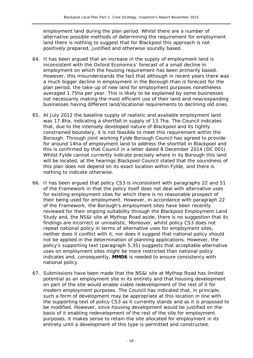employment land during the plan period. Whilst there are a number of alternative possible methods of determining the requirement for employment land there is nothing to suggest that for Blackpool this approach is not positively prepared, justified and otherwise soundly based.

- 64. It has been argued that an increase in the supply of employment land is inconsistent with the Oxford Economics' forecast of a small decline in employment on which the housing requirement has been primarily based. However, this misunderstands the fact that although in recent years there was a much bigger decline in employment in the Borough than is forecast for the plan period, the take-up of new land for employment purposes nonetheless averaged 1.75ha per year. This is likely to be explained by some businesses not necessarily making the most efficient use of their land and new/expanding businesses having different land/locational requirements to declining old ones.
- 65. At July 2012 the baseline supply of realistic and available employment land was 17.8ha, indicating a shortfall in supply of 13.7ha. The Council indicates that, due to the intensely developed nature of Blackpool and its tightly constrained boundary, it is not feasible to meet this requirement within the Borough. Through joint working Fylde Borough Council has agreed to provide for around 14ha of employment land to address the shortfall in Blackpool and this is confirmed by that Council in a letter dated 8 December 2014 (DC 001). Whilst Fylde cannot currently indicate precisely where in its Borough this land will be located, at the hearings Blackpool Council stated that the soundness of this plan does not depend on its exact location within Fylde, and there is nothing to indicate otherwise.
- 66. It has been argued that policy CS3 is inconsistent with paragraphs 22 and 51 of the Framework in that the policy itself does not deal with alternative uses for existing employment sites for which there is no reasonable prospect of their being used for employment. However, in accordance with paragraph 22 of the Framework, the Borough's employment sites have been recently reviewed for their ongoing suitability through the *Blackpool Employment Land Study* and, the NS&I site at Mythop Road aside, there is no suggestion that its findings are incorrect or unrealistic. Moreover, whilst policy CS3 does not repeat national policy in terms of alternative uses for employment sites, neither does it conflict with it, nor does it suggest that national policy should not be applied in the determination of planning applications. However, the policy's supporting text (paragraph 5.35) suggests that acceptable alternative uses on employment sites might be more restricted than national policy indicates and, consequently, **MM06** is needed to ensure consistency with national policy.
- 67. Submissions have been made that the NS&I site at Mythop Road has limited potential as an employment site in its entirety and that housing development on part of the site would enable viable redevelopment of the rest of it for modern employment purposes. The Council has indicated that, in principle, such a form of development may be appropriate at this location in line with the supporting text of policy CS3 as it currently stands and as it is proposed to be modified. However, since housing development would be justified on the basis of it enabling redevelopment of the rest of the site for employment purposes, it makes sense to retain the site allocated for employment in its entirety until a development of this type is permitted and constructed.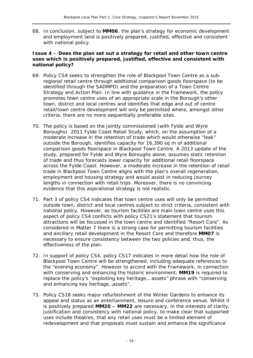68. In conclusion, subject to **MM06**, the plan's strategy for economic development and employment land is positively prepared, justified, effective and consistent with national policy.

#### **Issue 4 – Does the plan set out a strategy for retail and other town centre uses which is positively prepared, justified, effective and consistent with national policy?**

- 69. Policy CS4 seeks to strengthen the role of Blackpool Town Centre as a subregional retail centre through additional comparison goods floorspace (to be identified through the SADMPD) and the preparation of a Town Centre Strategy and Action Plan. In line with guidance in the Framework, the policy promotes town centre uses of an appropriate scale in the Borough's other town, district and local centres and identifies that edge and out of centre retail/town centre development will only be permitted where, amongst other criteria, there are no more sequentially preferable sites.
- 70. The policy is based on the jointly commissioned (with Fylde and Wyre Boroughs) *2011 Fylde Coast Retail Study*, which, on the assumption of a moderate increase in the retention of trade which would otherwise "leak" outside the Borough, identifies capacity for 16,390 sq m of additional comparison goods floorspace in Blackpool Town Centre. A 2013 update of the study, prepared for Fylde and Wyre Boroughs alone, assumes static retention of trade and thus forecasts lower capacity for additional retail floorspace across the Fylde Coast. However, a moderate increase in the retention of retail trade in Blackpool Town Centre aligns with the plan's overall regeneration, employment and housing strategy and would assist in reducing journey lengths in connection with retail trips. Moreover, there is no convincing evidence that this aspirational strategy is not realistic.
- 71. Part 3 of policy CS4 indicates that town centre uses will only be permitted outside town, district and local centres subject to strict criteria, consistent with national policy. However, as tourism facilities are main town centre uses this aspect of policy CS4 conflicts with policy CS21's statement that tourism attractions will be focussed in the town centre and identified "Resort Core". As considered in Matter 7 there is a strong case for permitting tourism facilities and ancillary retail development in the Resort Core and therefore **MM07** is necessary to ensure consistency between the two policies and, thus, the effectiveness of the plan.
- 72. In support of policy CS4, policy CS17 indicates in more detail how the role of Blackpool Town Centre will be strengthened, including adequate references to the "evening economy". However to accord with the Framework, in connection with conserving and enhancing the historic environment, **MM19** is required to replace the policy's "exploiting key heritage… assets" phrase with "conserving and enhancing key heritage…assets".
- 73. Policy CS18 seeks major refurbishment of the Winter Gardens to enhance its appeal and status as an entertainment, leisure and conference venue. Whilst it is positively prepared **MM20 – MM22** are necessary, in the interests of clarity, justification and consistency with national policy, to make clear that supported uses include theatres, that any retail uses must be a limited element of redevelopment and that proposals must sustain and enhance the significance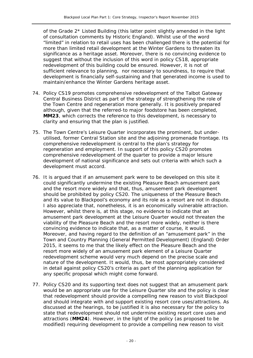of the Grade 2\* Listed Building (this latter point slightly amended in the light of consultation comments by Historic England). Whilst use of the word "limited" in relation to retail uses has been challenged there is the potential for more than limited retail development at the Winter Gardens to threaten its significance as a heritage asset. Moreover, there is no convincing evidence to suggest that without the inclusion of this word in policy CS18, appropriate redevelopment of this building could be ensured. However, it is not of sufficient relevance to planning, nor necessary to soundness, to require that development is financially self-sustaining and that generated income is used to maintain/enhance the Winter Gardens heritage asset.

- 74. Policy CS19 promotes comprehensive redevelopment of the Talbot Gateway Central Business District as part of the strategy of strengthening the role of the Town Centre and regeneration more generally. It is positively prepared although, given that the referred-to major foodstore has been completed, **MM23**, which corrects the reference to this development, is necessary to clarity and ensuring that the plan is justified.
- 75. The Town Centre's Leisure Quarter incorporates the prominent, but underutilised, former Central Station site and the adjoining promenade frontage. Its comprehensive redevelopment is central to the plan's strategy for regeneration and employment. In support of this policy CS20 promotes comprehensive redevelopment of the quarter to provide a major leisure development of national significance and sets out criteria with which such a development must accord.
- 76. It is argued that if an amusement park were to be developed on this site it could significantly undermine the existing Pleasure Beach amusement park and the resort more widely and that, thus, amusement park development should be prohibited by policy CS20. The uniqueness of the Pleasure Beach and its value to Blackpool's economy and its role as a resort are not in dispute. I also appreciate that, nonetheless, it is an economically vulnerable attraction. However, whilst there is, at this stage, no evidence to indicate that an amusement park development at the Leisure Quarter would not threaten the viability of the Pleasure Beach and the resort more widely, neither is there convincing evidence to indicate that, as a matter of course, it would. Moreover, and having regard to the definition of an "amusement park" in the Town and Country Planning (General Permitted Development) (England) Order 2015, it seems to me that the likely effect on the Pleasure Beach and the resort more widely of an amusement park element of a Leisure Quarter redevelopment scheme would very much depend on the precise scale and nature of the development. It would, thus, be most appropriately considered in detail against policy CS20's criteria as part of the planning application for any specific proposal which might come forward.
- 77. Policy CS20 and its supporting text does not suggest that an amusement park would be an appropriate use for the Leisure Quarter site and the policy is clear that redevelopment should provide a compelling new reason to visit Blackpool and should integrate with and support existing resort core uses/attractions. As discussed at the hearings, to be justified it is also necessary for the policy to state that redevelopment should not undermine existing resort core uses and attractions (**MM24**). However, in the light of the policy (as proposed to be modified) requiring development to provide a compelling new reason to visit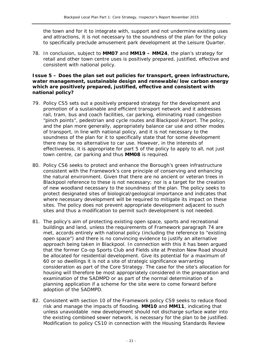the town and for it to integrate with, support and not undermine existing uses and attractions, it is not necessary to the soundness of the plan for the policy to specifically preclude amusement park development at the Leisure Quarter.

78. In conclusion, subject to **MM07** and **MM19 – MM24**, the plan's strategy for retail and other town centre uses is positively prepared, justified, effective and consistent with national policy.

#### **Issue 5 – Does the plan set out policies for transport, green infrastructure, water management, sustainable design and renewable/low carbon energy which are positively prepared, justified, effective and consistent with national policy?**

- 79. Policy CS5 sets out a positively prepared strategy for the development and promotion of a sustainable and efficient transport network and it addresses rail, tram, bus and coach facilities, car parking, eliminating road congestion "pinch points", pedestrian and cycle routes and Blackpool Airport. The policy, and the plan more generally, appropriately balance car use and other modes of transport, in line with national policy, and it is not necessary to the soundness of the plan for it to specifically state that for some development there may be no alternative to car use. However, in the interests of effectiveness, it is appropriate for part 5 of the policy to apply to all, not just town centre, car parking and thus **MM08** is required.
- 80. Policy CS6 seeks to protect and enhance the Borough's green infrastructure consistent with the Framework's core principle of conserving and enhancing the natural environment. Given that there are no ancient or veteran trees in Blackpool reference to these is not necessary; nor is a target for the creation of new woodland necessary to the soundness of the plan. The policy seeks to protect designated sites of biological/geological importance and indicates that where necessary development will be required to mitigate its impact on these sites. The policy does not prevent appropriate development adjacent to such sites and thus a modification to permit such development is not needed.
- 81. The policy's aim of protecting existing open space, sports and recreational buildings and land, unless the requirements of Framework paragraph 74 are met, accords entirely with national policy (including the reference to "existing open space") and there is no convincing evidence to justify an alternative approach being taken in Blackpool. In connection with this it has been argued that the former Co-op Sports Club and Fields site at Preston New Road should be allocated for residential development. Give its potential for a maximum of 60 or so dwellings it is not a site of strategic significance warranting consideration as part of the Core Strategy. The case for the site's allocation for housing will therefore be most appropriately considered in the preparation and examination of the SADMPD or as part of the normal determination of a planning application if a scheme for the site were to come forward before adoption of the SADMPD.
- 82. Consistent with section 10 of the Framework policy CS9 seeks to reduce flood risk and manage the impacts of flooding. **MM10** and **MM11**, indicating that unless unavoidable new development should not discharge surface water into the existing combined sewer network, is necessary for the plan to be justified. Modification to policy CS10 in connection with the Housing Standards Review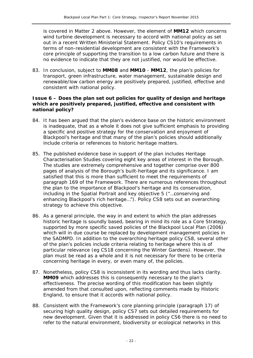is covered in Matter 2 above. However, the element of **MM12** which concerns wind turbine development is necessary to accord with national policy as set out in a recent Written Ministerial Statement. Policy CS10's requirements in terms of non-residential development are consistent with the Framework's core principle of supporting the transition to a low carbon future and there is no evidence to indicate that they are not justified, nor would be effective.

83. In conclusion, subject to **MM08** and **MM10** - **MM12**, the plan's policies for transport, green infrastructure, water management, sustainable design and renewable/low carbon energy are positively prepared, justified, effective and consistent with national policy.

#### **Issue 6 – Does the plan set out policies for quality of design and heritage which are positively prepared, justified, effective and consistent with national policy?**

- 84. It has been argued that the plan's evidence base on the historic environment is inadequate, that as a whole it does not give sufficient emphasis to providing a specific and positive strategy for the conservation and enjoyment of Blackpool's heritage and that many of the plan's policies should additionally include criteria or references to historic heritage matters.
- 85. The published evidence base in support of the plan includes Heritage Characterisation Studies covering eight key areas of interest in the Borough. The studies are extremely comprehensive and together comprise over 800 pages of analysis of the Borough's built-heritage and its significance. I am satisfied that this is more than sufficient to meet the requirements of paragraph 169 of the Framework. There are numerous references throughout the plan to the importance of Blackpool's heritage and its conservation, including in the Spatial Portrait and key objective 5 ("…conserving and enhancing Blackpool's rich heritage…"). Policy CS8 sets out an overarching strategy to achieve this objective.
- 86. As a general principle, the way in and extent to which the plan addresses historic heritage is soundly based, bearing in mind its role as a Core Strategy, supported by more specific saved policies of the Blackpool Local Plan (2006) which will in due course be replaced by development management policies in the SADMPD. In addition to the overarching heritage policy CS8, several other of the plan's policies include criteria relating to heritage where this is of particular relevance (eg CS18 concerning the Winter Gardens). However, the plan must be read as a whole and it is not necessary for there to be criteria concerning heritage in every, or even many of, the policies.
- 87. Nonetheless, policy CS8 is inconsistent in its wording and thus lacks clarity. **MM09** which addresses this is consequently necessary to the plan's effectiveness. The precise wording of this modification has been slightly amended from that consulted upon, reflecting comments made by Historic England, to ensure that it accords with national policy.
- 88. Consistent with the Framework's core planning principle (paragraph 17) of securing high quality design, policy CS7 sets out detailed requirements for new development. Given that it is addressed in policy CS6 there is no need to refer to the natural environment, biodiversity or ecological networks in this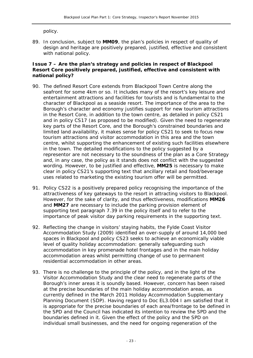policy.

89. In conclusion, subject to **MM09**, the plan's policies in respect of quality of design and heritage are positively prepared, justified, effective and consistent with national policy.

#### **Issue 7 – Are the plan's strategy and policies in respect of Blackpool Resort Core positively prepared, justified, effective and consistent with national policy?**

- 90. The defined Resort Core extends from Blackpool Town Centre along the seafront for some 4km or so. It includes many of the resort's key leisure and entertainment attractions and facilities for tourists and is fundamental to the character of Blackpool as a seaside resort. The importance of the area to the Borough's character and economy justifies support for new tourism attractions in the Resort Core, in addition to the town centre, as detailed in policy CS21 and in policy CS17 (as proposed to be modified). Given the need to regenerate key parts of the Resort Core, and the Borough's constrained boundaries and limited land availability, it makes sense for policy CS21 to seek to focus new tourism attractions and visitor accommodation in this area and the town centre, whilst supporting the enhancement of existing such facilities elsewhere in the town. The detailed modifications to the policy suggested by a representor are not necessary to the soundness of the plan as a Core Strategy and, in any case, the policy as it stands does not conflict with the suggested wording. However, to be justified and effective, **MM25** is necessary to make clear in policy CS21's supporting text that ancillary retail and food/beverage uses related to marketing the existing tourism offer will be permitted.
- 91. Policy CS22 is a positively prepared policy recognising the importance of the attractiveness of key gateways to the resort in attracting visitors to Blackpool. However, for the sake of clarity, and thus effectiveness, modifications **MM26**  and **MM27** are necessary to include the parking provision element of supporting text paragraph 7.39 in the policy itself and to refer to the importance of peak visitor day parking requirements in the supporting text.
- 92. Reflecting the change in visitors' staying habits, the *Fylde Coast Visitor Accommodation Study* (2009) identified an over-supply of around 14,000 bed spaces in Blackpool and policy CS23 seeks to achieve an economically viable level of quality holiday accommodation: generally safeguarding such accommodation in key promenade hotel frontages and in the main holiday accommodation areas whilst permitting change of use to permanent residential accommodation in other areas.
- 93. There is no challenge to the principle of the policy, and in the light of the *Visitor Accommodation Study* and the clear need to regenerate parts of the Borough's inner areas it is soundly based. However, concern has been raised at the precise boundaries of the main holiday accommodation areas, as currently defined in the March 2011 *Holiday Accommodation Supplementary Planning Document* (SDP). Having regard to Doc EL3.004 I am satisfied that it is appropriate for the precise boundaries of each area/frontage to be defined in the SPD and the Council has indicated its intention to review the SPD and the boundaries defined in it. Given the effect of the policy and the SPD on individual small businesses, and the need for ongoing regeneration of the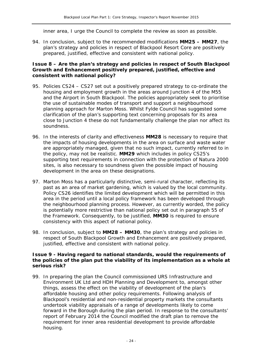inner area, I urge the Council to complete the review as soon as possible.

94. In conclusion, subject to the recommended modifications **MM25 – MM27**, the plan's strategy and policies in respect of Blackpool Resort Core are positively prepared, justified, effective and consistent with national policy.

#### **Issue 8 – Are the plan's strategy and policies in respect of South Blackpool Growth and Enhancement positively prepared, justified, effective and consistent with national policy?**

- 95. Policies CS24 CS27 set out a positively prepared strategy to co-ordinate the housing and employment growth in the areas around Junction 4 of the M55 and the Airport in South Blackpool. The policies appropriately seek to prioritise the use of sustainable modes of transport and support a neighbourhood planning approach for Marton Moss. Whilst Fylde Council has suggested some clarification of the plan's supporting text concerning proposals for its area close to Junction 4 these do not fundamentally challenge the plan nor affect its soundness.
- 96. In the interests of clarity and effectiveness **MM28** is necessary to require that the impacts of housing developments in the area on surface and waste water are appropriately managed, given that no such impact, currently referred to in the policy, may not be realistic. **MM29** which includes in policy CS25's supporting text requirements in connection with the protection of Natura 2000 sites, is also necessary to soundness given the possible impact of housing development in the area on these designations.
- 97. Marton Moss has a particularly distinctive, semi-rural character, reflecting its past as an area of market gardening, which is valued by the local community. Policy CS26 identifies the limited development which will be permitted in this area in the period until a local policy framework has been developed through the neighbourhood planning process. However, as currently worded, the policy is potentially more restrictive than national policy set out in paragraph 55 of the Framework. Consequently, to be justified, **MM30** is required to ensure consistency with this aspect of national policy.
- 98. In conclusion, subject to **MM28 MM30**, the plan's strategy and policies in respect of South Blackpool Growth and Enhancement are positively prepared, justified, effective and consistent with national policy.

#### **Issue 9 - Having regard to national standards, would the requirements of the policies of the plan put the viability of its implementation as a whole at serious risk?**

99. In preparing the plan the Council commissioned URS Infrastructure and Environment UK Ltd and HDH Planning and Development to, amongst other things, assess the effect on the viability of development of the plan's affordable housing and other policy requirements. Following analysis of Blackpool's residential and non-residential property markets the consultants undertook viability appraisals of a range of developments likely to come forward in the Borough during the plan period. In response to the consultants' report of February 2014 the Council modified the draft plan to remove the requirement for inner area residential development to provide affordable housing.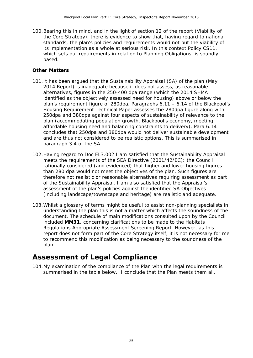100.Bearing this in mind, and in the light of section 12 of the report (Viability of the Core Strategy), there is evidence to show that, having regard to national standards, the plan's policies and requirements would not put the viability of its implementation as a whole at serious risk. In this context Policy CS11, which sets out requirements in relation to Planning Obligations, is soundly based.

#### **Other Matters**

- 101.It has been argued that the Sustainability Appraisal (SA) of the plan (May 2014 Report) is inadequate because it does not assess, as reasonable alternatives, figures in the 250-400 dpa range (which the 2014 SHMA identified as the objectively assessed need for housing) above or below the plan's requirement figure of 280dpa. Paragraphs 6.11 – 6.14 of the *Blackpool's Housing Requirement Technical Paper* assesses the 280dpa figure along with 250dpa and 380dpa against four aspects of sustainability of relevance to the plan (accommodating population growth, Blackpool's economy, meeting affordable housing need and balancing constraints to delivery). Para 6.14 concludes that 250dpa and 380dpa would not deliver sustainable development and are thus not considered to be realistic options. This is summarised in paragraph 3.4 of the SA.
- 102.Having regard to Doc EL3.002 I am satisfied that the Sustainability Appraisal meets the requirements of the SEA Directive (2001/42/EC): the Council rationally considered (and evidenced) that higher and lower housing figures than 280 dpa would not meet the objectives of the plan. Such figures are therefore not realistic or reasonable alternatives requiring assessment as part of the Sustainability Appraisal. I am also satisfied that the Appraisal's assessment of the plan's policies against the identified SA Objectives (including landscape/townscape and heritage) are realistic and adequate.
- 103.Whilst a glossary of terms might be useful to assist non-planning specialists in understanding the plan this is not a matter which affects the soundness of the document. The schedule of main modifications consulted upon by the Council included **MM31**, concerning clarifications to be made to the *Habitats Regulations Appropriate Assessment Screening Report*. However, as this report does not form part of the Core Strategy itself, it is not necessary for me to recommend this modification as being necessary to the soundness of the plan.

### **Assessment of Legal Compliance**

104.My examination of the compliance of the Plan with the legal requirements is summarised in the table below. I conclude that the Plan meets them all.